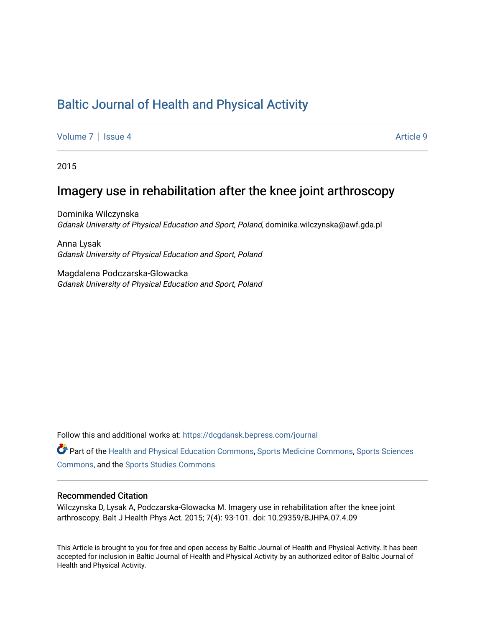# [Baltic Journal of Health and Physical Activity](https://dcgdansk.bepress.com/journal)

[Volume 7](https://dcgdansk.bepress.com/journal/vol7) | [Issue 4](https://dcgdansk.bepress.com/journal/vol7/iss4) Article 9

2015

# Imagery use in rehabilitation after the knee joint arthroscopy

Dominika Wilczynska Gdansk University of Physical Education and Sport, Poland, dominika.wilczynska@awf.gda.pl

Anna Lysak Gdansk University of Physical Education and Sport, Poland

Magdalena Podczarska-Glowacka Gdansk University of Physical Education and Sport, Poland

Follow this and additional works at: [https://dcgdansk.bepress.com/journal](https://dcgdansk.bepress.com/journal?utm_source=dcgdansk.bepress.com%2Fjournal%2Fvol7%2Fiss4%2F9&utm_medium=PDF&utm_campaign=PDFCoverPages)

Part of the [Health and Physical Education Commons](http://network.bepress.com/hgg/discipline/1327?utm_source=dcgdansk.bepress.com%2Fjournal%2Fvol7%2Fiss4%2F9&utm_medium=PDF&utm_campaign=PDFCoverPages), [Sports Medicine Commons,](http://network.bepress.com/hgg/discipline/1331?utm_source=dcgdansk.bepress.com%2Fjournal%2Fvol7%2Fiss4%2F9&utm_medium=PDF&utm_campaign=PDFCoverPages) [Sports Sciences](http://network.bepress.com/hgg/discipline/759?utm_source=dcgdansk.bepress.com%2Fjournal%2Fvol7%2Fiss4%2F9&utm_medium=PDF&utm_campaign=PDFCoverPages) [Commons](http://network.bepress.com/hgg/discipline/759?utm_source=dcgdansk.bepress.com%2Fjournal%2Fvol7%2Fiss4%2F9&utm_medium=PDF&utm_campaign=PDFCoverPages), and the [Sports Studies Commons](http://network.bepress.com/hgg/discipline/1198?utm_source=dcgdansk.bepress.com%2Fjournal%2Fvol7%2Fiss4%2F9&utm_medium=PDF&utm_campaign=PDFCoverPages) 

#### Recommended Citation

Wilczynska D, Lysak A, Podczarska-Glowacka M. Imagery use in rehabilitation after the knee joint arthroscopy. Balt J Health Phys Act. 2015; 7(4): 93-101. doi: 10.29359/BJHPA.07.4.09

This Article is brought to you for free and open access by Baltic Journal of Health and Physical Activity. It has been accepted for inclusion in Baltic Journal of Health and Physical Activity by an authorized editor of Baltic Journal of Health and Physical Activity.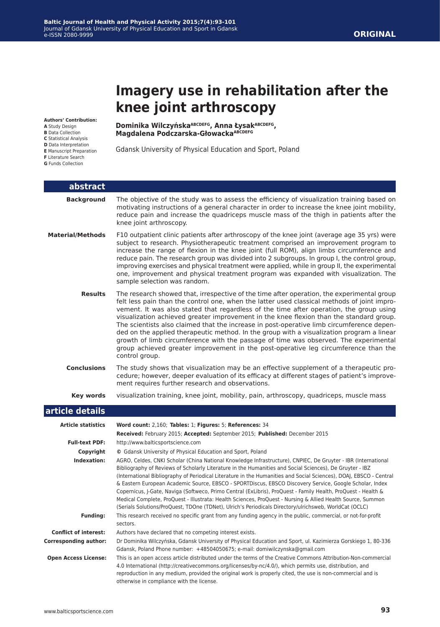# **Imagery use in rehabilitation after the knee joint arthroscopy**

**Authors' Contribution:**

- **A** Study Design
- **B** Data Collection
- **C** Statistical Analysis **D** Data Interpretation
- **E** Manuscript Preparation
- **F** Literature Search
- **G** Funds Collection

**Dominika WilczyńskaABCDEFG, Anna ŁysakABCDEFG, Magdalena Podczarska-GłowackaABCDEFG**

Gdansk University of Physical Education and Sport, Poland

| abstract                     |                                                                                                                                                                                                                                                                                                                                                                                                                                                                                                                                                                                                                                                                                                                                                                                                      |  |  |
|------------------------------|------------------------------------------------------------------------------------------------------------------------------------------------------------------------------------------------------------------------------------------------------------------------------------------------------------------------------------------------------------------------------------------------------------------------------------------------------------------------------------------------------------------------------------------------------------------------------------------------------------------------------------------------------------------------------------------------------------------------------------------------------------------------------------------------------|--|--|
| <b>Background</b>            | The objective of the study was to assess the efficiency of visualization training based on<br>motivating instructions of a general character in order to increase the knee joint mobility,<br>reduce pain and increase the quadriceps muscle mass of the thigh in patients after the<br>knee joint arthroscopy.                                                                                                                                                                                                                                                                                                                                                                                                                                                                                      |  |  |
| <b>Material/Methods</b>      | F10 outpatient clinic patients after arthroscopy of the knee joint (average age 35 yrs) were<br>subject to research. Physiotherapeutic treatment comprised an improvement program to<br>increase the range of flexion in the knee joint (full ROM), align limbs circumference and<br>reduce pain. The research group was divided into 2 subgroups. In group I, the control group,<br>improving exercises and physical treatment were applied, while in group II, the experimental<br>one, improvement and physical treatment program was expanded with visualization. The<br>sample selection was random.                                                                                                                                                                                            |  |  |
| <b>Results</b>               | The research showed that, irrespective of the time after operation, the experimental group<br>felt less pain than the control one, when the latter used classical methods of joint impro-<br>vement. It was also stated that regardless of the time after operation, the group using<br>visualization achieved greater improvement in the knee flexion than the standard group.<br>The scientists also claimed that the increase in post-operative limb circumference depen-<br>ded on the applied therapeutic method. In the group with a visualization program a linear<br>growth of limb circumference with the passage of time was observed. The experimental<br>group achieved greater improvement in the post-operative leg circumference than the<br>control group.                           |  |  |
| <b>Conclusions</b>           | The study shows that visualization may be an effective supplement of a therapeutic pro-<br>cedure; however, deeper evaluation of its efficacy at different stages of patient's improve-<br>ment requires further research and observations.                                                                                                                                                                                                                                                                                                                                                                                                                                                                                                                                                          |  |  |
| Key words                    | visualization training, knee joint, mobility, pain, arthroscopy, quadriceps, muscle mass                                                                                                                                                                                                                                                                                                                                                                                                                                                                                                                                                                                                                                                                                                             |  |  |
| article details              |                                                                                                                                                                                                                                                                                                                                                                                                                                                                                                                                                                                                                                                                                                                                                                                                      |  |  |
| <b>Article statistics</b>    | Word count: 2,160; Tables: 1; Figures: 5; References: 34<br>Received: February 2015; Accepted: September 2015; Published: December 2015                                                                                                                                                                                                                                                                                                                                                                                                                                                                                                                                                                                                                                                              |  |  |
| <b>Full-text PDF:</b>        | http://www.balticsportscience.com                                                                                                                                                                                                                                                                                                                                                                                                                                                                                                                                                                                                                                                                                                                                                                    |  |  |
| Copyright                    | © Gdansk University of Physical Education and Sport, Poland                                                                                                                                                                                                                                                                                                                                                                                                                                                                                                                                                                                                                                                                                                                                          |  |  |
| Indexation:                  | AGRO, Celdes, CNKI Scholar (China National Knowledge Infrastructure), CNPIEC, De Gruyter - IBR (International<br>Bibliography of Reviews of Scholarly Literature in the Humanities and Social Sciences), De Gruyter - IBZ<br>(International Bibliography of Periodical Literature in the Humanities and Social Sciences), DOAJ, EBSCO - Central<br>& Eastern European Academic Source, EBSCO - SPORTDiscus, EBSCO Discovery Service, Google Scholar, Index<br>Copernicus, J-Gate, Naviga (Softweco, Primo Central (ExLibris), ProQuest - Family Health, ProQuest - Health &<br>Medical Complete, ProQuest - Illustrata: Health Sciences, ProQuest - Nursing & Allied Health Source, Summon<br>(Serials Solutions/ProQuest, TDOne (TDNet), Ulrich's Periodicals Directory/ulrichsweb, WorldCat (OCLC) |  |  |
| <b>Funding:</b>              | This research received no specific grant from any funding agency in the public, commercial, or not-for-profit<br>sectors.                                                                                                                                                                                                                                                                                                                                                                                                                                                                                                                                                                                                                                                                            |  |  |
| <b>Conflict of interest:</b> | Authors have declared that no competing interest exists.                                                                                                                                                                                                                                                                                                                                                                                                                                                                                                                                                                                                                                                                                                                                             |  |  |
| <b>Corresponding author:</b> | Dr Dominika Wilczyńska, Gdansk University of Physical Education and Sport, ul. Kazimierza Gorskiego 1, 80-336<br>Gdansk, Poland Phone number: +48504050675; e-mail: domiwilczynska@gmail.com                                                                                                                                                                                                                                                                                                                                                                                                                                                                                                                                                                                                         |  |  |
| <b>Open Access License:</b>  | This is an open access article distributed under the terms of the Creative Commons Attribution-Non-commercial<br>4.0 International (http://creativecommons.org/licenses/by-nc/4.0/), which permits use, distribution, and<br>reproduction in any medium, provided the original work is properly cited, the use is non-commercial and is<br>otherwise in compliance with the license.                                                                                                                                                                                                                                                                                                                                                                                                                 |  |  |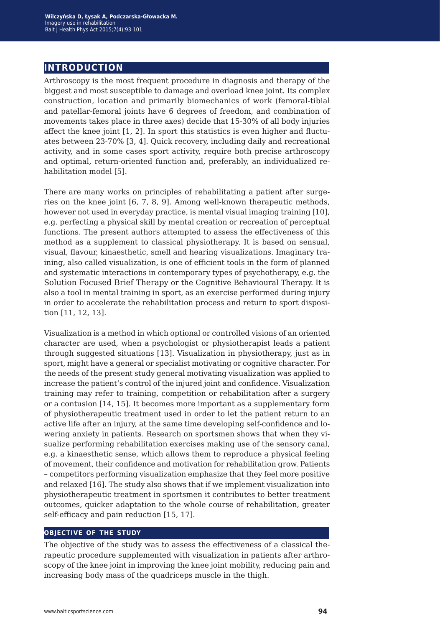# **introduction**

Arthroscopy is the most frequent procedure in diagnosis and therapy of the biggest and most susceptible to damage and overload knee joint. Its complex construction, location and primarily biomechanics of work (femoral-tibial and patellar-femoral joints have 6 degrees of freedom, and combination of movements takes place in three axes) decide that 15-30% of all body injuries affect the knee joint [1, 2]. In sport this statistics is even higher and fluctuates between 23-70% [3, 4]. Quick recovery, including daily and recreational activity, and in some cases sport activity, require both precise arthroscopy and optimal, return-oriented function and, preferably, an individualized rehabilitation model [5].

There are many works on principles of rehabilitating a patient after surgeries on the knee joint [6, 7, 8, 9]. Among well-known therapeutic methods, however not used in everyday practice, is mental visual imaging training [10], e.g. perfecting a physical skill by mental creation or recreation of perceptual functions. The present authors attempted to assess the effectiveness of this method as a supplement to classical physiotherapy. It is based on sensual, visual, flavour, kinaesthetic, smell and hearing visualizations. Imaginary training, also called visualization, is one of efficient tools in the form of planned and systematic interactions in contemporary types of psychotherapy, e.g. the Solution Focused Brief Therapy or the Cognitive Behavioural Therapy. It is also a tool in mental training in sport, as an exercise performed during injury in order to accelerate the rehabilitation process and return to sport disposition [11, 12, 13].

Visualization is a method in which optional or controlled visions of an oriented character are used, when a psychologist or physiotherapist leads a patient through suggested situations [13]. Visualization in physiotherapy, just as in sport, might have a general or specialist motivating or cognitive character. For the needs of the present study general motivating visualization was applied to increase the patient's control of the injured joint and confidence. Visualization training may refer to training, competition or rehabilitation after a surgery or a contusion [14, 15]. It becomes more important as a supplementary form of physiotherapeutic treatment used in order to let the patient return to an active life after an injury, at the same time developing self-confidence and lowering anxiety in patients. Research on sportsmen shows that when they visualize performing rehabilitation exercises making use of the sensory canal, e.g. a kinaesthetic sense, which allows them to reproduce a physical feeling of movement, their confidence and motivation for rehabilitation grow. Patients – competitors performing visualization emphasize that they feel more positive and relaxed [16]. The study also shows that if we implement visualization into physiotherapeutic treatment in sportsmen it contributes to better treatment outcomes, quicker adaptation to the whole course of rehabilitation, greater self-efficacy and pain reduction [15, 17].

#### **objective of the study**

The objective of the study was to assess the effectiveness of a classical therapeutic procedure supplemented with visualization in patients after arthroscopy of the knee joint in improving the knee joint mobility, reducing pain and increasing body mass of the quadriceps muscle in the thigh.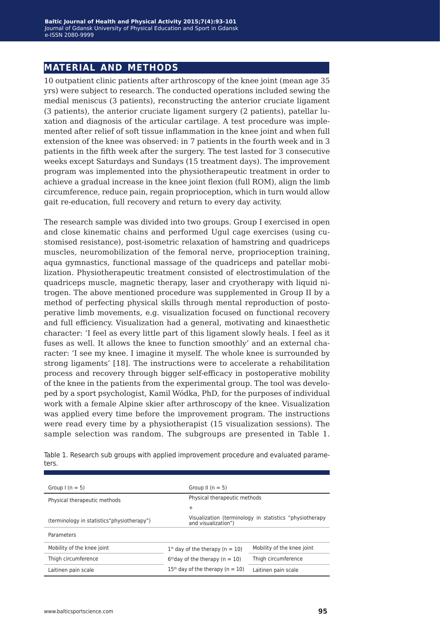## **material and methods**

10 outpatient clinic patients after arthroscopy of the knee joint (mean age 35 yrs) were subject to research. The conducted operations included sewing the medial meniscus (3 patients), reconstructing the anterior cruciate ligament (3 patients), the anterior cruciate ligament surgery (2 patients), patellar luxation and diagnosis of the articular cartilage. A test procedure was implemented after relief of soft tissue inflammation in the knee joint and when full extension of the knee was observed: in 7 patients in the fourth week and in 3 patients in the fifth week after the surgery. The test lasted for 3 consecutive weeks except Saturdays and Sundays (15 treatment days). The improvement program was implemented into the physiotherapeutic treatment in order to achieve a gradual increase in the knee joint flexion (full ROM), align the limb circumference, reduce pain, regain proprioception, which in turn would allow gait re-education, full recovery and return to every day activity.

The research sample was divided into two groups. Group I exercised in open and close kinematic chains and performed Ugul cage exercises (using customised resistance), post-isometric relaxation of hamstring and quadriceps muscles, neuromobilization of the femoral nerve, proprioception training, aqua gymnastics, functional massage of the quadriceps and patellar mobilization. Physiotherapeutic treatment consisted of electrostimulation of the quadriceps muscle, magnetic therapy, laser and cryotherapy with liquid nitrogen. The above mentioned procedure was supplemented in Group II by a method of perfecting physical skills through mental reproduction of postoperative limb movements, e.g. visualization focused on functional recovery and full efficiency. Visualization had a general, motivating and kinaesthetic character: 'I feel as every little part of this ligament slowly heals. I feel as it fuses as well. It allows the knee to function smoothly' and an external character: 'I see my knee. I imagine it myself. The whole knee is surrounded by strong ligaments' [18]. The instructions were to accelerate a rehabilitation process and recovery through bigger self-efficacy in postoperative mobility of the knee in the patients from the experimental group. The tool was developed by a sport psychologist, Kamil Wódka, PhD, for the purposes of individual work with a female Alpine skier after arthroscopy of the knee. Visualization was applied every time before the improvement program. The instructions were read every time by a physiotherapist (15 visualization sessions). The sample selection was random. The subgroups are presented in Table 1.

| Group $1(n = 5)$                            | Group II $(n = 5)$                                                             |                            |  |
|---------------------------------------------|--------------------------------------------------------------------------------|----------------------------|--|
| Physical therapeutic methods                | Physical therapeutic methods                                                   |                            |  |
|                                             | $\ddot{}$                                                                      |                            |  |
| (terminology in statistics "physiotherapy") | Visualization (terminology in statistics "physiotherapy<br>and visualization") |                            |  |
| Parameters                                  |                                                                                |                            |  |
| Mobility of the knee joint                  | $1st$ day of the therapy (n = 10)                                              | Mobility of the knee joint |  |
| Thigh circumference                         | $6th$ day of the therapy (n = 10)                                              | Thigh circumference        |  |
| Laitinen pain scale                         | $15th$ day of the therapy (n = 10)                                             | Laitinen pain scale        |  |

Table 1. Research sub groups with applied improvement procedure and evaluated parameters.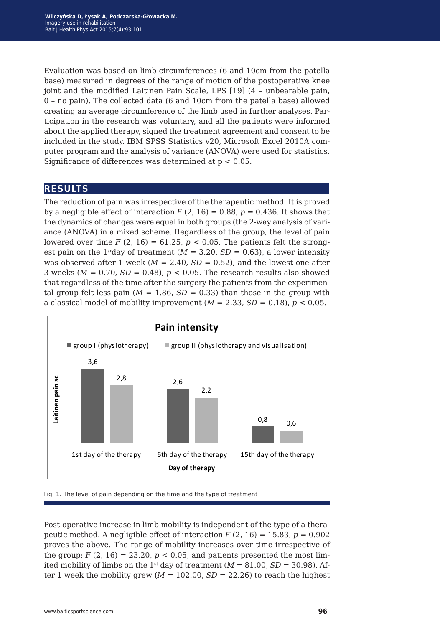Evaluation was based on limb circumferences (6 and 10cm from the patella base) measured in degrees of the range of motion of the postoperative knee joint and the modified Laitinen Pain Scale, LPS [19] (4 – unbearable pain, 0 – no pain). The collected data (6 and 10cm from the patella base) allowed creating an average circumference of the limb used in further analyses. Participation in the research was voluntary, and all the patients were informed about the applied therapy, signed the treatment agreement and consent to be included in the study. IBM SPSS Statistics v20, Microsoft Excel 2010A computer program and the analysis of variance (ANOVA) were used for statistics. Significance of differences was determined at  $p < 0.05$ .

### **results**

The reduction of pain was irrespective of the therapeutic method. It is proved by a negligible effect of interaction  $F(2, 16) = 0.88$ ,  $p = 0.436$ . It shows that the dynamics of changes were equal in both groups (the 2-way analysis of variance (ANOVA) in a mixed scheme. Regardless of the group, the level of pain lowered over time  $F(2, 16) = 61.25$ ,  $p < 0.05$ . The patients felt the strongest pain on the 1<sup>st</sup>day of treatment  $(M = 3.20, SD = 0.63)$ , a lower intensity was observed after 1 week ( $M = 2.40$ ,  $SD = 0.52$ ), and the lowest one after 3 weeks ( $M = 0.70$ ,  $SD = 0.48$ ),  $p < 0.05$ . The research results also showed that regardless of the time after the surgery the patients from the experimental group felt less pain ( $M = 1.86$ ,  $SD = 0.33$ ) than those in the group with a classical model of mobility improvement  $(M = 2.33, SD = 0.18)$ ,  $p < 0.05$ .



Fig. 1. The level of pain depending on the time and the type of treatment

Post-operative increase in limb mobility is independent of the type of a therapeutic method. A negligible effect of interaction  $F(2, 16) = 15.83$ ,  $p = 0.902$ proves the above. The range of mobility increases over time irrespective of the group:  $F(2, 16) = 23.20$ ,  $p < 0.05$ , and patients presented the most limited mobility of limbs on the 1<sup>st</sup> day of treatment ( $M = 81.00$ ,  $SD = 30.98$ ). After 1 week the mobility grew  $(M = 102.00, SD = 22.26)$  to reach the highest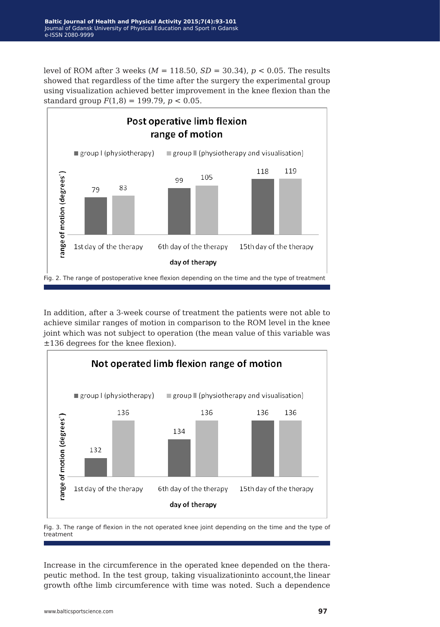level of ROM after 3 weeks ( $M = 118.50$ ,  $SD = 30.34$ ),  $p < 0.05$ . The results showed that regardless of the time after the surgery the experimental group using visualization achieved better improvement in the knee flexion than the standard group *F*(1,8) = 199.79, *p* < 0.05.



In addition, after a 3-week course of treatment the patients were not able to achieve similar ranges of motion in comparison to the ROM level in the knee joint which was not subject to operation (the mean value of this variable was ±136 degrees for the knee flexion).



Fig. 3. The range of flexion in the not operated knee joint depending on the time and the type of treatment

Increase in the circumference in the operated knee depended on the therapeutic method. In the test group, taking visualizationinto account,the linear growth ofthe limb circumference with time was noted. Such a dependence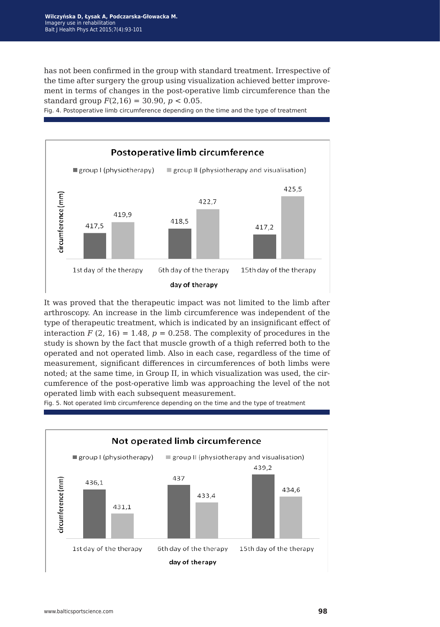has not been confirmed in the group with standard treatment. Irrespective of the time after surgery the group using visualization achieved better improvement in terms of changes in the post-operative limb circumference than the standard group  $F(2,16) = 30.90$ ,  $p < 0.05$ .

Fig. 4. Postoperative limb circumference depending on the time and the type of treatment



It was proved that the therapeutic impact was not limited to the limb after arthroscopy. An increase in the limb circumference was independent of the type of therapeutic treatment, which is indicated by an insignificant effect of interaction  $F(2, 16) = 1.48$ ,  $p = 0.258$ . The complexity of procedures in the study is shown by the fact that muscle growth of a thigh referred both to the operated and not operated limb. Also in each case, regardless of the time of measurement, significant differences in circumferences of both limbs were noted; at the same time, in Group II, in which visualization was used, the circumference of the post-operative limb was approaching the level of the not operated limb with each subsequent measurement.

Fig. 5. Not operated limb circumference depending on the time and the type of treatment

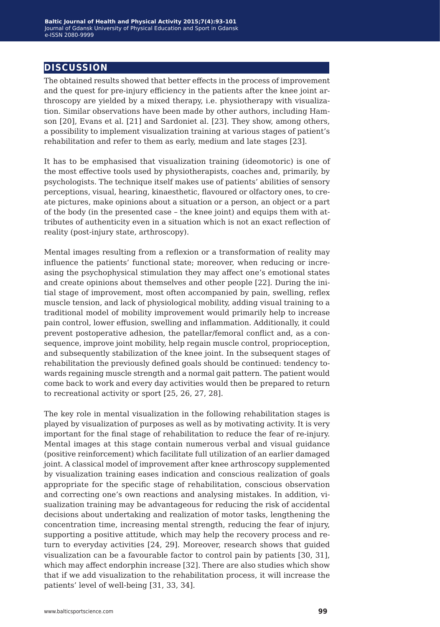## **discussion**

The obtained results showed that better effects in the process of improvement and the quest for pre-injury efficiency in the patients after the knee joint arthroscopy are yielded by a mixed therapy, i.e. physiotherapy with visualization. Similar observations have been made by other authors, including Hamson [20], Evans et al. [21] and Sardoniet al. [23]. They show, among others, a possibility to implement visualization training at various stages of patient's rehabilitation and refer to them as early, medium and late stages [23].

It has to be emphasised that visualization training (ideomotoric) is one of the most effective tools used by physiotherapists, coaches and, primarily, by psychologists. The technique itself makes use of patients' abilities of sensory perceptions, visual, hearing, kinaesthetic, flavoured or olfactory ones, to create pictures, make opinions about a situation or a person, an object or a part of the body (in the presented case – the knee joint) and equips them with attributes of authenticity even in a situation which is not an exact reflection of reality (post-injury state, arthroscopy).

Mental images resulting from a reflexion or a transformation of reality may influence the patients' functional state; moreover, when reducing or increasing the psychophysical stimulation they may affect one's emotional states and create opinions about themselves and other people [22]. During the initial stage of improvement, most often accompanied by pain, swelling, reflex muscle tension, and lack of physiological mobility, adding visual training to a traditional model of mobility improvement would primarily help to increase pain control, lower effusion, swelling and inflammation. Additionally, it could prevent postoperative adhesion, the patellar/femoral conflict and, as a consequence, improve joint mobility, help regain muscle control, proprioception, and subsequently stabilization of the knee joint. In the subsequent stages of rehabilitation the previously defined goals should be continued: tendency towards regaining muscle strength and a normal gait pattern. The patient would come back to work and every day activities would then be prepared to return to recreational activity or sport [25, 26, 27, 28].

The key role in mental visualization in the following rehabilitation stages is played by visualization of purposes as well as by motivating activity. It is very important for the final stage of rehabilitation to reduce the fear of re-injury. Mental images at this stage contain numerous verbal and visual guidance (positive reinforcement) which facilitate full utilization of an earlier damaged joint. A classical model of improvement after knee arthroscopy supplemented by visualization training eases indication and conscious realization of goals appropriate for the specific stage of rehabilitation, conscious observation and correcting one's own reactions and analysing mistakes. In addition, visualization training may be advantageous for reducing the risk of accidental decisions about undertaking and realization of motor tasks, lengthening the concentration time, increasing mental strength, reducing the fear of injury, supporting a positive attitude, which may help the recovery process and return to everyday activities [24, 29]. Moreover, research shows that guided visualization can be a favourable factor to control pain by patients [30, 31], which may affect endorphin increase [32]. There are also studies which show that if we add visualization to the rehabilitation process, it will increase the patients' level of well-being [31, 33, 34].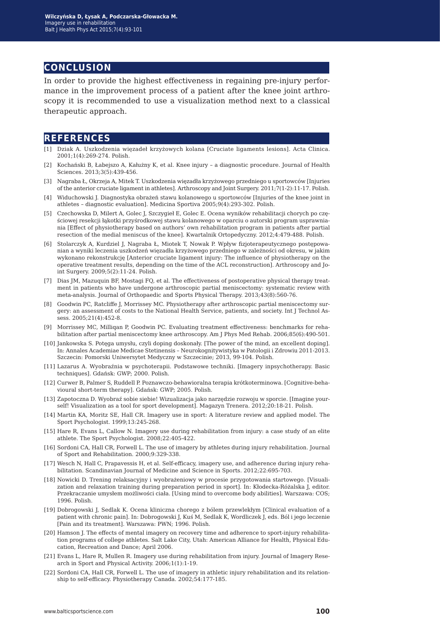#### **conclusion**

In order to provide the highest effectiveness in regaining pre-injury performance in the improvement process of a patient after the knee joint arthroscopy it is recommended to use a visualization method next to a classical therapeutic approach.

#### **references**

- [1] Dziak A. Uszkodzenia więzadeł krzyżowych kolana [Cruciate ligaments lesions]. Acta Clinica. 2001;1(4):269-274. Polish.
- [2] Kochański B, Łabejszo A, Kałużny K, et al. Knee injury a diagnostic procedure. Journal of Health Sciences. 2013;3(5):439-456.
- [3] Nagraba Ł, Okrzeja A, Mitek T. Uszkodzenia więzadła krzyżowego przedniego u sportowców [Injuries of the anterior cruciate ligament in athletes]. Arthroscopy and Joint Surgery. 2011;7(1-2):11-17. Polish.
- [4] Widuchowski J. Diagnostyka obrażeń stawu kolanowego u sportowców [Injuries of the knee joint in athletes – diagnostic evaluation]. Medicina Sportiva 2005;9(4):293-302. Polish.
- [5] Czechowska D, Milert A, Golec J, Szczygieł E, Golec E. Ocena wyników rehabilitacji chorych po częściowej resekcji łąkotki przyśrodkowej stawu kolanowego w oparciu o autorski program usprawniania [Effect of physiotherapy based on authors' own rehabilitation program in patients after partial resection of the medial meniscus of the knee]. Kwartalnik Ortopedyczny. 2012;4:479-488. Polish.
- [6] Stolarczyk A, Kurdziel J, Nagraba Ł, Miotek T, Nowak P. Wpływ fizjoterapeutycznego postępowanian a wyniki leczenia uszkodzeń więzadła krzyżowego przedniego w zależności od okresu, w jakim wykonano rekonstrukcję [Anterior cruciate ligament injury: The influence of physiotherapy on the operative treatment results, depending on the time of the ACL reconstruction]. Arthroscopy and Joint Surgery. 2009;5(2):11-24. Polish.
- [7] Dias JM, Mazuquin BF, Mostagi FQ, et al. The effectiveness of postoperative physical therapy treatment in patients who have undergone arthroscopic partial meniscectomy: systematic review with meta-analysis. Journal of Orthopaedic and Sports Physical Therapy. 2013;43(8):560-76.
- [8] Goodwin PC, Ratcliffe J, Morrissey MC. Physiotherapy after arthroscopic partial meniscectomy surgery: an assessment of costs to the National Health Service, patients, and society. Int J Technol Assess. 2005;21(4):452-8.
- [9] Morrissey MC, Milliqan P, Goodwin PC. Evaluating treatment effectiveness: benchmarks for rehabilitation after partial meniscectomy knee arthroscopy. Am J Phys Med Rehab. 2006;85(6):490-501.
- [10] Jankowska S. Potęga umysłu, czyli doping doskonały. [The power of the mind, an excellent doping]. In: Annales Academiae Medicae Stetinensis – Neurokognitywistyka w Patologii i Zdrowiu 2011-2013. Szczecin: Pomorski Uniwersytet Medyczny w Szczecinie; 2013, 99-104. Polish.
- [11] Lazarus A. Wyobraźnia w psychoterapii. Podstawowe techniki. [Imagery inpsychotherapy. Basic techniques]. Gdańsk: GWP; 2000. Polish.
- [12] Curwer B, Palmer S, Ruddell P. Poznawczo-behawioralna terapia krótkoterminowa. [Cognitive-behavioural short-term therapy]. Gdańsk: GWP; 2005. Polish.
- [13] Zapotoczna D. Wyobraź sobie siebie! Wizualizacja jako narzędzie rozwoju w sporcie. [Imagine yourself! Visualization as a tool for sport development]. Magazyn Trenera. 2012;20:18-21. Polish.
- [14] Martin KA, Moritz SE, Hall CR. Imagery use in sport: A literature review and applied model. The Sport Psychologist. 1999;13:245-268.
- [15] Hare R, Evans L, Callow N. Imagery use during rehabilitation from injury: a case study of an elite athlete. The Sport Psychologist. 2008;22:405-422.
- [16] Sordoni CA, Hall CR, Forwell L. The use of imagery by athletes during injury rehabilitation. Journal of Sport and Rehabilitation. 2000;9:329-338.
- [17] Wesch N, Hall C, Prapavessis H, et al. Self-efficacy, imagery use, and adherence during injury rehabilitation. Scandinavian Journal of Medicine and Science in Sports. 2012;22:695-703.
- [18] Nowicki D. Trening relaksacyjny i wyobrażeniowy w procesie przygotowania startowego. [Visualization and relaxation training during preparation period in sport]. In: Kłodecka-Różalska J, editor. Przekraczanie umysłem możliwości ciała. [Using mind to overcome body abilities]. Warszawa: COS; 1996. Polish.
- [19] Dobrogowski J, Sedlak K. Ocena kliniczna chorego z bólem przewlekłym [Clinical evaluation of a patient with chronic pain]. In: Dobrogowski J, Kuś M, Sedlak K, Wordliczek J, eds. Ból i jego leczenie [Pain and its treatment]. Warszawa: PWN; 1996. Polish.
- [20] Hamson J. The effects of mental imagery on recovery time and adherence to sport-injury rehabilitation programs of college athletes. Salt Lake City, Utah: American Alliance for Health, Physical Education, Recreation and Dance; April 2006.
- [21] Evans L, Hare R, Mullen R. Imagery use during rehabilitation from injury. Journal of Imagery Research in Sport and Physical Activity. 2006;1(1):1-19.
- [22] Sordoni CA, Hall CR, Forwell L. The use of imagery in athletic injury rehabilitation and its relationship to self-efficacy. Physiotherapy Canada. 2002;54:177-185.